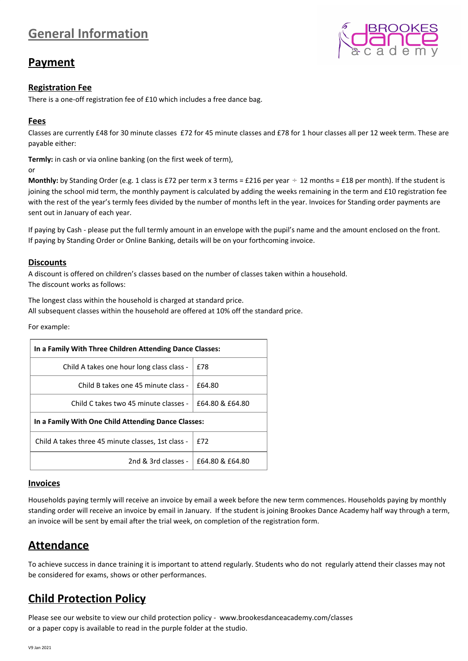# **General Information**

## **Payment**

### **Registration Fee**

There is a one-off registration fee of £10 which includes a free dance bag.

### **Fees**

Classes are currently £48 for 30 minute classes £72 for 45 minute classes and £78 for 1 hour classes all per 12 week term. These are payable either:

**Termly:** in cash or via online banking (on the first week of term),

or

**Monthly:** by Standing Order (e.g. 1 class is £72 per term x 3 terms = £216 per year  $\div$  12 months = £18 per month). If the student is joining the school mid term, the monthly payment is calculated by adding the weeks remaining in the term and £10 registration fee with the rest of the year's termly fees divided by the number of months left in the year. Invoices for Standing order payments are sent out in January of each year.

If paying by Cash - please put the full termly amount in an envelope with the pupil's name and the amount enclosed on the front. If paying by Standing Order or Online Banking, details will be on your forthcoming invoice.

### **Discounts**

A discount is offered on children's classes based on the number of classes taken within a household. The discount works as follows:

The longest class within the household is charged at standard price.

All subsequent classes within the household are offered at 10% off the standard price.

For example:

| In a Family With Three Children Attending Dance Classes: |                 |  |  |  |  |  |  |
|----------------------------------------------------------|-----------------|--|--|--|--|--|--|
| Child A takes one hour long class class -                | f78             |  |  |  |  |  |  |
| Child B takes one 45 minute class -                      | £64.80          |  |  |  |  |  |  |
| Child C takes two 45 minute classes -<br>£64.80 & £64.80 |                 |  |  |  |  |  |  |
| In a Family With One Child Attending Dance Classes:      |                 |  |  |  |  |  |  |
| Child A takes three 45 minute classes, 1st class -       | f72             |  |  |  |  |  |  |
| 2nd & 3rd classes -                                      | £64.80 & £64.80 |  |  |  |  |  |  |

#### **Invoices**

Households paying termly will receive an invoice by email a week before the new term commences. Households paying by monthly standing order will receive an invoice by email in January. If the student is joining Brookes Dance Academy half way through a term, an invoice will be sent by email after the trial week, on completion of the registration form.

## **Attendance**

To achieve success in dance training it is important to attend regularly. Students who do not regularly attend their classes may not be considered for exams, shows or other performances.

## **Child Protection Policy**

Please see our website to view our child protection policy - www.brookesdanceacademy.com/classes or a paper copy is available to read in the purple folder at the studio.

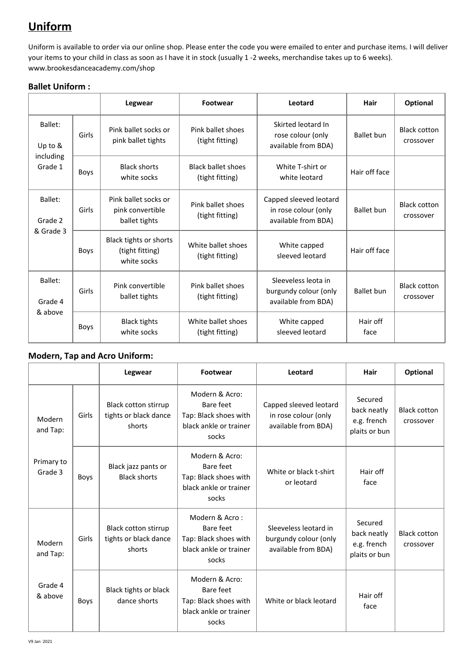# **Uniform**

Uniform is available to order via our online shop. Please enter the code you were emailed to enter and purchase items. I will deliver your items to your child in class as soon as I have it in stock (usually 1 -2 weeks, merchandise takes up to 6 weeks). www.brookesdanceacademy.com/shop

### **Ballet Uniform :**

|                      |             | Legwear                                                   | Footwear                                     | Leotard                                                               | Hair              | Optional                         |
|----------------------|-------------|-----------------------------------------------------------|----------------------------------------------|-----------------------------------------------------------------------|-------------------|----------------------------------|
| Ballet:<br>Up to &   | Girls       | Pink ballet socks or<br>pink ballet tights                | Pink ballet shoes<br>(tight fitting)         | Skirted leotard In<br>rose colour (only<br>available from BDA)        | <b>Ballet bun</b> | <b>Black cotton</b><br>crossover |
| including<br>Grade 1 | <b>Boys</b> | <b>Black shorts</b><br>white socks                        | <b>Black ballet shoes</b><br>(tight fitting) | White T-shirt or<br>white leotard                                     | Hair off face     |                                  |
| Ballet:<br>Grade 2   | Girls       | Pink ballet socks or<br>pink convertible<br>ballet tights | Pink ballet shoes<br>(tight fitting)         | Capped sleeved leotard<br>in rose colour (only<br>available from BDA) | <b>Ballet</b> bun | <b>Black cotton</b><br>crossover |
| & Grade 3            | <b>Boys</b> | Black tights or shorts<br>(tight fitting)<br>white socks  | White ballet shoes<br>(tight fitting)        | White capped<br>sleeved leotard                                       | Hair off face     |                                  |
| Ballet:<br>Grade 4   | Girls       | Pink convertible<br>ballet tights                         | Pink ballet shoes<br>(tight fitting)         | Sleeveless leota in<br>burgundy colour (only<br>available from BDA)   | <b>Ballet</b> bun | <b>Black cotton</b><br>crossover |
| & above              | <b>Boys</b> | <b>Black tights</b><br>white socks                        | White ballet shoes<br>(tight fitting)        | White capped<br>sleeved leotard                                       | Hair off<br>face  |                                  |

### **Modern, Tap and Acro Uniform:**

|                             |       | Legwear                                                        | Footwear                                                                                | Leotard                                                               | Hair                                                   | Optional                         |
|-----------------------------|-------|----------------------------------------------------------------|-----------------------------------------------------------------------------------------|-----------------------------------------------------------------------|--------------------------------------------------------|----------------------------------|
| Girls<br>Modern<br>and Tap: |       | <b>Black cotton stirrup</b><br>tights or black dance<br>shorts | Modern & Acro:<br>Bare feet<br>Tap: Black shoes with<br>black ankle or trainer<br>socks | Capped sleeved leotard<br>in rose colour (only<br>available from BDA) | Secured<br>back neatly<br>e.g. french<br>plaits or bun | <b>Black cotton</b><br>crossover |
| Primary to<br>Grade 3       | Boys  | Black jazz pants or<br><b>Black shorts</b>                     | Modern & Acro:<br>Bare feet<br>Tap: Black shoes with<br>black ankle or trainer<br>socks | White or black t-shirt<br>or leotard                                  | Hair off<br>face                                       |                                  |
| Modern<br>and Tap:          | Girls | Black cotton stirrup<br>tights or black dance<br>shorts        | Modern & Acro:<br>Bare feet<br>Tap: Black shoes with<br>black ankle or trainer<br>socks | Sleeveless leotard in<br>burgundy colour (only<br>available from BDA) | Secured<br>back neatly<br>e.g. french<br>plaits or bun | <b>Black cotton</b><br>crossover |
| Grade 4<br>& above          | Boys  | Black tights or black<br>dance shorts                          | Modern & Acro:<br>Bare feet<br>Tap: Black shoes with<br>black ankle or trainer<br>socks | White or black leotard                                                | Hair off<br>face                                       |                                  |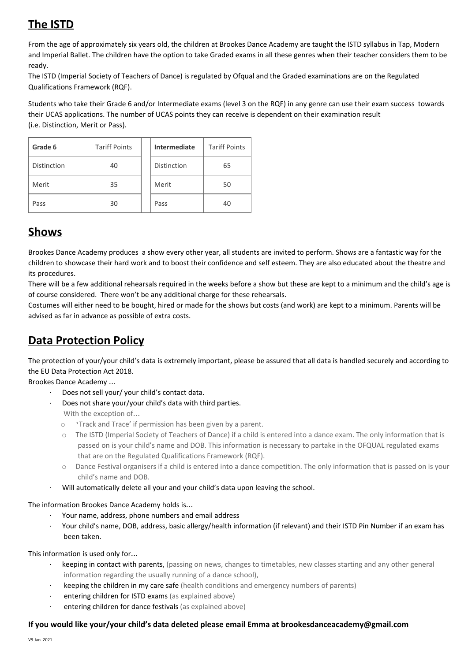# **The ISTD**

From the age of approximately six years old, the children at Brookes Dance Academy are taught the ISTD syllabus in Tap, Modern and Imperial Ballet. The children have the option to take Graded exams in all these genres when their teacher considers them to be ready.

The ISTD (Imperial Society of Teachers of Dance) is regulated by Ofqual and the Graded examinations are on the Regulated Qualifications Framework (RQF).

Students who take their Grade 6 and/or Intermediate exams (level 3 on the RQF) in any genre can use their exam success towards their UCAS applications. The number of UCAS points they can receive is dependent on their examination result (i.e. Distinction, Merit or Pass).

| Grade 6            | <b>Tariff Points</b> |  | Intermediate | <b>Tariff Points</b> |
|--------------------|----------------------|--|--------------|----------------------|
| <b>Distinction</b> | 40                   |  | Distinction  | 65                   |
| Merit              | 35                   |  | Merit        | 50                   |
| Pass               | 30                   |  | Pass         | 40                   |

## **Shows**

Brookes Dance Academy produces a show every other year, all students are invited to perform. Shows are a fantastic way for the children to showcase their hard work and to boost their confidence and self esteem. They are also educated about the theatre and its procedures.

There will be a few additional rehearsals required in the weeks before a show but these are kept to a minimum and the child's age is of course considered. There won't be any additional charge for these rehearsals.

Costumes will either need to be bought, hired or made for the shows but costs (and work) are kept to a minimum. Parents will be advised as far in advance as possible of extra costs.

# **Data Protection Policy**

The protection of your/your child's data is extremely important, please be assured that all data is handled securely and according to the EU Data Protection Act 2018.

Brookes Dance Academy …

- Does not sell your/ your child's contact data.
- Does not share your/your child's data with third parties. With the exception of…
	- o 'Track and Trace' if permission has been given by a parent.
	- o The ISTD (Imperial Society of Teachers of Dance) if a child is entered into a dance exam. The only information that is passed on is your child's name and DOB. This information is necessary to partake in the OFQUAL regulated exams that are on the Regulated Qualifications Framework (RQF).
	- Dance Festival organisers if a child is entered into a dance competition. The only information that is passed on is your child's name and DOB.
- · Will automatically delete all your and your child's data upon leaving the school.

The information Brookes Dance Academy holds is…

- · Your name, address, phone numbers and email address
- · Your child's name, DOB, address, basic allergy/health information (if relevant) and their ISTD Pin Number if an exam has been taken.

This information is used only for…

- keeping in contact with parents, (passing on news, changes to timetables, new classes starting and any other general information regarding the usually running of a dance school),
- keeping the children in my care safe (health conditions and emergency numbers of parents)
- entering children for ISTD exams (as explained above)
- entering children for dance festivals (as explained above)

### **If you would like your/your child's data deleted please email Emma at brookesdanceacademy@gmail.com**